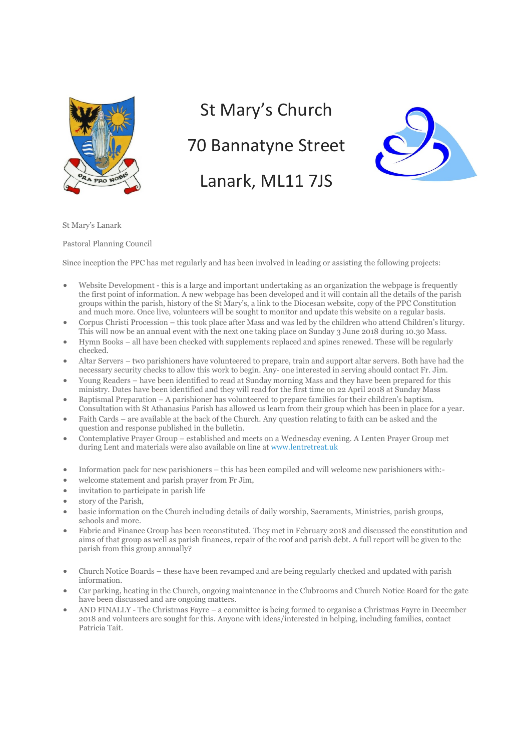

## St Mary's Church

## 70 Bannatyne Street

## Lanark, ML11 7JS



St Mary's Lanark

Pastoral Planning Council

Since inception the PPC has met regularly and has been involved in leading or assisting the following projects:

- Website Development this is a large and important undertaking as an organization the webpage is frequently the first point of information. A new webpage has been developed and it will contain all the details of the parish groups within the parish, history of the St Mary's, a link to the Diocesan website, copy of the PPC Constitution and much more. Once live, volunteers will be sought to monitor and update this website on a regular basis.
- Corpus Christi Procession this took place after Mass and was led by the children who attend Children's liturgy. This will now be an annual event with the next one taking place on Sunday 3 June 2018 during 10.30 Mass.
- Hymn Books all have been checked with supplements replaced and spines renewed. These will be regularly checked.
- Altar Servers two parishioners have volunteered to prepare, train and support altar servers. Both have had the necessary security checks to allow this work to begin. Any- one interested in serving should contact Fr. Jim.
- Young Readers have been identified to read at Sunday morning Mass and they have been prepared for this ministry. Dates have been identified and they will read for the first time on 22 April 2018 at Sunday Mass
- Baptismal Preparation A parishioner has volunteered to prepare families for their children's baptism. Consultation with St Athanasius Parish has allowed us learn from their group which has been in place for a year.
- Faith Cards are available at the back of the Church. Any question relating to faith can be asked and the question and response published in the bulletin.
- Contemplative Prayer Group established and meets on a Wednesday evening. A Lenten Prayer Group met during Lent and materials were also available on line at www.lentretreat.uk
- Information pack for new parishioners this has been compiled and will welcome new parishioners with:-
- welcome statement and parish prayer from Fr Jim,
- invitation to participate in parish life
- story of the Parish,
- basic information on the Church including details of daily worship, Sacraments, Ministries, parish groups, schools and more.
- Fabric and Finance Group has been reconstituted. They met in February 2018 and discussed the constitution and aims of that group as well as parish finances, repair of the roof and parish debt. A full report will be given to the parish from this group annually?
- Church Notice Boards these have been revamped and are being regularly checked and updated with parish information.
- Car parking, heating in the Church, ongoing maintenance in the Clubrooms and Church Notice Board for the gate have been discussed and are ongoing matters.
- AND FINALLY The Christmas Fayre a committee is being formed to organise a Christmas Fayre in December 2018 and volunteers are sought for this. Anyone with ideas/interested in helping, including families, contact Patricia Tait.